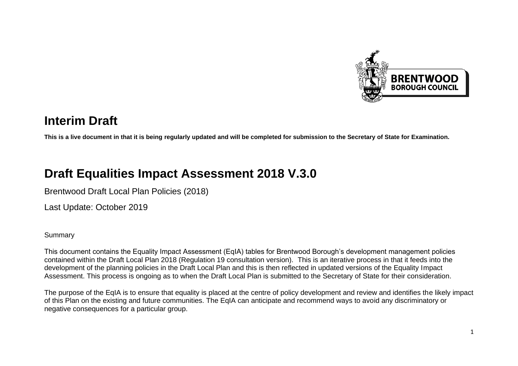

# **Interim Draft**

**This is a live document in that it is being regularly updated and will be completed for submission to the Secretary of State for Examination.**

# **Draft Equalities Impact Assessment 2018 V.3.0**

Brentwood Draft Local Plan Policies (2018)

Last Update: October 2019

#### **Summary**

This document contains the Equality Impact Assessment (EqIA) tables for Brentwood Borough's development management policies contained within the Draft Local Plan 2018 (Regulation 19 consultation version). This is an iterative process in that it feeds into the development of the planning policies in the Draft Local Plan and this is then reflected in updated versions of the Equality Impact Assessment. This process is ongoing as to when the Draft Local Plan is submitted to the Secretary of State for their consideration.

The purpose of the EqIA is to ensure that equality is placed at the centre of policy development and review and identifies the likely impact of this Plan on the existing and future communities. The EqIA can anticipate and recommend ways to avoid any discriminatory or negative consequences for a particular group.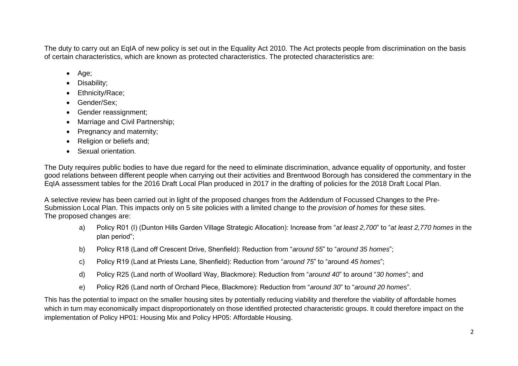The duty to carry out an EqIA of new policy is set out in the Equality Act 2010. The Act protects people from discrimination on the basis of certain characteristics, which are known as protected characteristics. The protected characteristics are:

- Age;
- Disability;
- Ethnicity/Race;
- Gender/Sex;
- Gender reassignment;
- Marriage and Civil Partnership;
- Pregnancy and maternity;
- Religion or beliefs and;
- Sexual orientation.

The Duty requires public bodies to have due regard for the need to eliminate discrimination, advance equality of opportunity, and foster good relations between different people when carrying out their activities and Brentwood Borough has considered the commentary in the EqIA assessment tables for the 2016 Draft Local Plan produced in 2017 in the drafting of policies for the 2018 Draft Local Plan.

A selective review has been carried out in light of the proposed changes from the Addendum of Focussed Changes to the Pre-Submission Local Plan. This impacts only on 5 site policies with a limited change to the *provision of homes* for these sites. The proposed changes are:

- a) Policy R01 (I) (Dunton Hills Garden Village Strategic Allocation): Increase from "*at least 2,700*" to "*at least 2,770 homes* in the plan period";
- b) Policy R18 (Land off Crescent Drive, Shenfield): Reduction from "*around 55*" to "*around 35 homes*";
- c) Policy R19 (Land at Priests Lane, Shenfield): Reduction from "*around 75*" to "around *45 homes*";
- d) Policy R25 (Land north of Woollard Way, Blackmore): Reduction from "*around 40*" to around "*30 homes*"; and
- e) Policy R26 (Land north of Orchard Piece, Blackmore): Reduction from "*around 30*" to "*around 20 homes*".

This has the potential to impact on the smaller housing sites by potentially reducing viability and therefore the viability of affordable homes which in turn may economically impact disproportionately on those identified protected characteristic groups. It could therefore impact on the implementation of Policy HP01: Housing Mix and Policy HP05: Affordable Housing.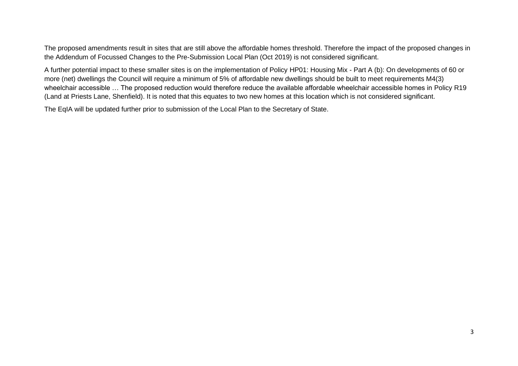The proposed amendments result in sites that are still above the affordable homes threshold. Therefore the impact of the proposed changes in the Addendum of Focussed Changes to the Pre-Submission Local Plan (Oct 2019) is not considered significant.

A further potential impact to these smaller sites is on the implementation of Policy HP01: Housing Mix - Part A (b): On developments of 60 or more (net) dwellings the Council will require a minimum of 5% of affordable new dwellings should be built to meet requirements M4(3) wheelchair accessible … The proposed reduction would therefore reduce the available affordable wheelchair accessible homes in Policy R19 (Land at Priests Lane, Shenfield). It is noted that this equates to two new homes at this location which is not considered significant.

The EqIA will be updated further prior to submission of the Local Plan to the Secretary of State.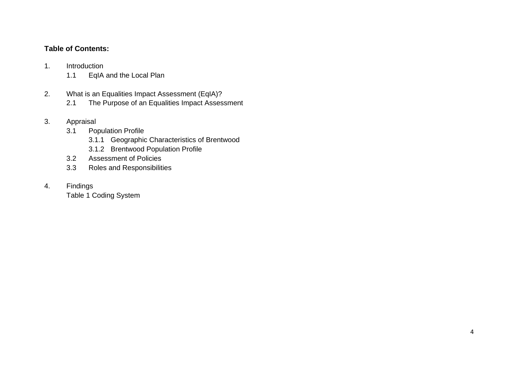#### **Table of Contents:**

- 1. Introduction
	- 1.1 EqIA and the Local Plan
- 2. What is an Equalities Impact Assessment (EqIA)?
	- 2.1 The Purpose of an Equalities Impact Assessment
- 3. Appraisal

#### 3.1 Population Profile

- 3.1.1 Geographic Characteristics of Brentwood
- 3.1.2 Brentwood Population Profile
- 3.2 Assessment of Policies
- 3.3 Roles and Responsibilities
- 4. Findings

Table 1 Coding System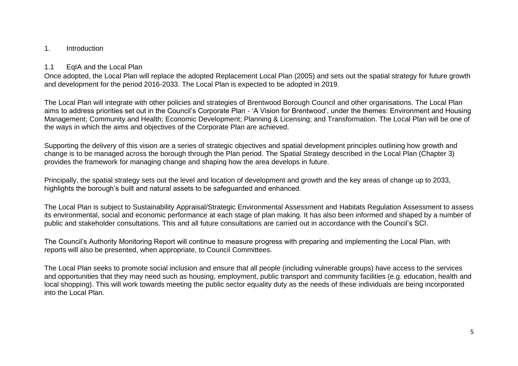#### 1. Introduction

#### 1.1 EqIA and the Local Plan

Once adopted, the Local Plan will replace the adopted Replacement Local Plan (2005) and sets out the spatial strategy for future growth and development for the period 2016-2033. The Local Plan is expected to be adopted in 2019.

The Local Plan will integrate with other policies and strategies of Brentwood Borough Council and other organisations. The Local Plan aims to address priorities set out in the Council's Corporate Plan - 'A Vision for Brentwood', under the themes: Environment and Housing Management; Community and Health; Economic Development; Planning & Licensing; and Transformation. The Local Plan will be one of the ways in which the aims and objectives of the Corporate Plan are achieved.

Supporting the delivery of this vision are a series of strategic objectives and spatial development principles outlining how growth and change is to be managed across the borough through the Plan period. The Spatial Strategy described in the Local Plan (Chapter 3) provides the framework for managing change and shaping how the area develops in future.

Principally, the spatial strategy sets out the level and location of development and growth and the key areas of change up to 2033, highlights the borough's built and natural assets to be safeguarded and enhanced.

The Local Plan is subject to Sustainability Appraisal/Strategic Environmental Assessment and Habitats Regulation Assessment to assess its environmental, social and economic performance at each stage of plan making. It has also been informed and shaped by a number of public and stakeholder consultations. This and all future consultations are carried out in accordance with the Council's SCI.

The Council's Authority Monitoring Report will continue to measure progress with preparing and implementing the Local Plan, with reports will also be presented, when appropriate, to Council Committees.

The Local Plan seeks to promote social inclusion and ensure that all people (including vulnerable groups) have access to the services and opportunities that they may need such as housing, employment, public transport and community facilities (e.g. education, health and local shopping). This will work towards meeting the public sector equality duty as the needs of these individuals are being incorporated into the Local Plan.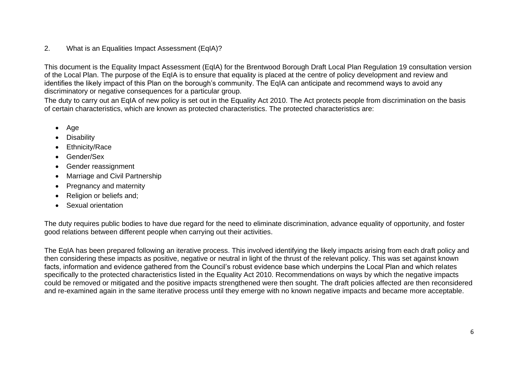#### 2. What is an Equalities Impact Assessment (EqIA)?

This document is the Equality Impact Assessment (EqIA) for the Brentwood Borough Draft Local Plan Regulation 19 consultation version of the Local Plan. The purpose of the EqIA is to ensure that equality is placed at the centre of policy development and review and identifies the likely impact of this Plan on the borough's community. The EqIA can anticipate and recommend ways to avoid any discriminatory or negative consequences for a particular group.

The duty to carry out an EqIA of new policy is set out in the Equality Act 2010. The Act protects people from discrimination on the basis of certain characteristics, which are known as protected characteristics. The protected characteristics are:

- Age
- Disability
- Ethnicity/Race
- Gender/Sex
- Gender reassignment
- Marriage and Civil Partnership
- Pregnancy and maternity
- Religion or beliefs and;
- Sexual orientation

The duty requires public bodies to have due regard for the need to eliminate discrimination, advance equality of opportunity, and foster good relations between different people when carrying out their activities.

The EqIA has been prepared following an iterative process. This involved identifying the likely impacts arising from each draft policy and then considering these impacts as positive, negative or neutral in light of the thrust of the relevant policy. This was set against known facts, information and evidence gathered from the Council's robust evidence base which underpins the Local Plan and which relates specifically to the protected characteristics listed in the Equality Act 2010. Recommendations on ways by which the negative impacts could be removed or mitigated and the positive impacts strengthened were then sought. The draft policies affected are then reconsidered and re-examined again in the same iterative process until they emerge with no known negative impacts and became more acceptable.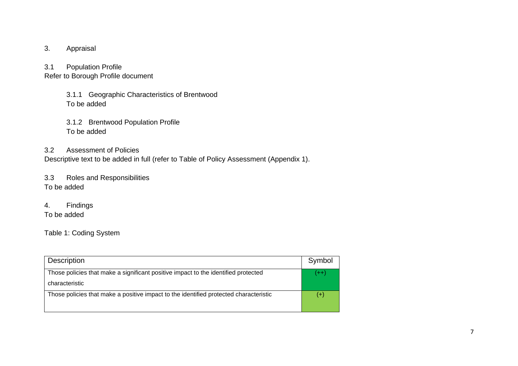- 3. Appraisal
- 3.1 Population Profile

Refer to Borough Profile document

- 3.1.1 Geographic Characteristics of Brentwood To be added
- 3.1.2 Brentwood Population Profile To be added

#### 3.2 Assessment of Policies

Descriptive text to be added in full (refer to Table of Policy Assessment (Appendix 1).

3.3 Roles and Responsibilities To be added

4. Findings To be added

Table 1: Coding System

| <b>Description</b>                                                                                   | Symbol |
|------------------------------------------------------------------------------------------------------|--------|
| Those policies that make a significant positive impact to the identified protected<br>characteristic | $(++)$ |
| Those policies that make a positive impact to the identified protected characteristic                | (+)    |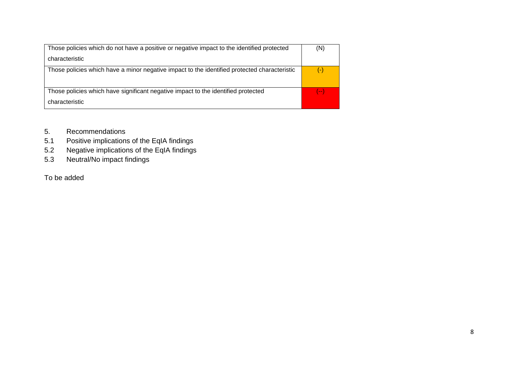| Those policies which do not have a positive or negative impact to the identified protected   | (N)    |
|----------------------------------------------------------------------------------------------|--------|
| characteristic                                                                               |        |
| Those policies which have a minor negative impact to the identified protected characteristic | $(-)$  |
| Those policies which have significant negative impact to the identified protected            | $(--)$ |
| characteristic                                                                               |        |

- 5. Recommendations
- 5.1 Positive implications of the EqIA findings
- 5.2 Negative implications of the EqIA findings
- 5.3 Neutral/No impact findings

To be added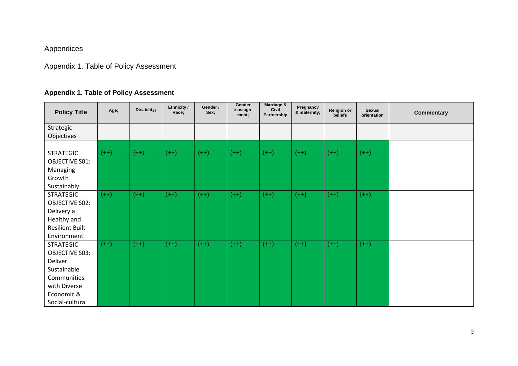### Appendices

## Appendix 1. Table of Policy Assessment

### **Appendix 1. Table of Policy Assessment**

| <b>Policy Title</b>    | Age;   | Disability; | Ethnicity /<br>Race; | Gender /<br>Sex; | Gender<br>reassign-<br>ment; | <b>Marriage &amp;</b><br>Civil<br>Partnership | Pregnancy<br>& maternity; | <b>Religion or</b><br>beliefs | <b>Sexual</b><br>orientation | <b>Commentary</b> |
|------------------------|--------|-------------|----------------------|------------------|------------------------------|-----------------------------------------------|---------------------------|-------------------------------|------------------------------|-------------------|
| Strategic              |        |             |                      |                  |                              |                                               |                           |                               |                              |                   |
| Objectives             |        |             |                      |                  |                              |                                               |                           |                               |                              |                   |
|                        |        |             |                      |                  |                              |                                               |                           |                               |                              |                   |
| <b>STRATEGIC</b>       | $(++)$ | $(++)$      | $(++)$               | $(++)$           | $(++)$                       | $(++)$                                        | $(++)$                    | $(++)$                        | $(++)$                       |                   |
| <b>OBJECTIVE S01:</b>  |        |             |                      |                  |                              |                                               |                           |                               |                              |                   |
| Managing               |        |             |                      |                  |                              |                                               |                           |                               |                              |                   |
| Growth                 |        |             |                      |                  |                              |                                               |                           |                               |                              |                   |
| Sustainably            |        |             |                      |                  |                              |                                               |                           |                               |                              |                   |
| <b>STRATEGIC</b>       | $(++)$ | $(++)$      | $(++)$               | $(++)$           | $(++)$                       | $(++)$                                        | $(++)$                    | $(++)$                        | $(++)$                       |                   |
| <b>OBJECTIVE S02:</b>  |        |             |                      |                  |                              |                                               |                           |                               |                              |                   |
| Delivery a             |        |             |                      |                  |                              |                                               |                           |                               |                              |                   |
| Healthy and            |        |             |                      |                  |                              |                                               |                           |                               |                              |                   |
| <b>Resilient Built</b> |        |             |                      |                  |                              |                                               |                           |                               |                              |                   |
| Environment            |        |             |                      |                  |                              |                                               |                           |                               |                              |                   |
| <b>STRATEGIC</b>       | $(++)$ | $(++)$      | $(++)$               | $(++)$           | $(++)$                       | $(++)$                                        | $(++)$                    | $(++)$                        | $(++)$                       |                   |
| <b>OBJECTIVE S03:</b>  |        |             |                      |                  |                              |                                               |                           |                               |                              |                   |
| Deliver                |        |             |                      |                  |                              |                                               |                           |                               |                              |                   |
| Sustainable            |        |             |                      |                  |                              |                                               |                           |                               |                              |                   |
| Communities            |        |             |                      |                  |                              |                                               |                           |                               |                              |                   |
| with Diverse           |        |             |                      |                  |                              |                                               |                           |                               |                              |                   |
| Economic &             |        |             |                      |                  |                              |                                               |                           |                               |                              |                   |
| Social-cultural        |        |             |                      |                  |                              |                                               |                           |                               |                              |                   |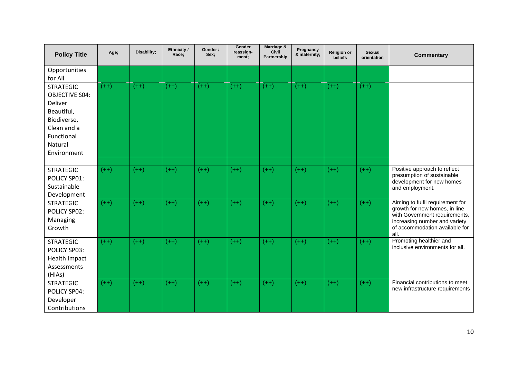| <b>Policy Title</b>                                                                                                                      | Age;   | Disability; | Ethnicity /<br>Race; | Gender /<br>Sex: | Gender<br>reassign-<br>ment; | Marriage &<br>Civil<br>Partnership | Pregnancy<br>& maternity; | <b>Religion or</b><br>beliefs | <b>Sexual</b><br>orientation | <b>Commentary</b>                                                                                                                                                             |
|------------------------------------------------------------------------------------------------------------------------------------------|--------|-------------|----------------------|------------------|------------------------------|------------------------------------|---------------------------|-------------------------------|------------------------------|-------------------------------------------------------------------------------------------------------------------------------------------------------------------------------|
| Opportunities<br>for All                                                                                                                 |        |             |                      |                  |                              |                                    |                           |                               |                              |                                                                                                                                                                               |
| <b>STRATEGIC</b><br><b>OBJECTIVE S04:</b><br>Deliver<br>Beautiful,<br>Biodiverse,<br>Clean and a<br>Functional<br>Natural<br>Environment | $(++)$ | $(++)$      | $(++)$               | $(++)$           | $(++)$                       | $(++)$                             | $(++)$                    | $(++)$                        | $(++)$                       |                                                                                                                                                                               |
| <b>STRATEGIC</b><br>POLICY SP01:<br>Sustainable<br>Development                                                                           | $(++)$ | $(++)$      | $(++)$               | $(++)$           | $(++)$                       | $(++)$                             | $(++)$                    | $(++)$                        | $(++)$                       | Positive approach to reflect<br>presumption of sustainable<br>development for new homes<br>and employment.                                                                    |
| <b>STRATEGIC</b><br>POLICY SP02:<br>Managing<br>Growth                                                                                   | $(++)$ | $(++)$      | $(++)$               | $(++)$           | $(++)$                       | $(++)$                             | $(++)$                    | $(++)$                        | $(++)$                       | Aiming to fulfil requirement for<br>growth for new homes, in line<br>with Government requirements,<br>increasing number and variety<br>of accommodation available for<br>all. |
| <b>STRATEGIC</b><br>POLICY SP03:<br><b>Health Impact</b><br>Assessments<br>(HIAs)                                                        | $(++)$ | $(++)$      | $(++)$               | $(++)$           | $(++)$                       | $(++)$                             | $(++)$                    | $(++)$                        | $(++)$                       | Promoting healthier and<br>inclusive environments for all.                                                                                                                    |
| <b>STRATEGIC</b><br>POLICY SP04:<br>Developer<br>Contributions                                                                           | $(++)$ | $(++)$      | $(++)$               | $(++)$           | $(++)$                       | $(++)$                             | $(++)$                    | $(++)$                        | $(++)$                       | Financial contributions to meet<br>new infrastructure requirements                                                                                                            |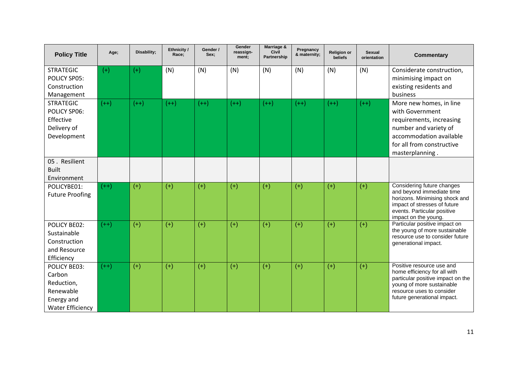| <b>Policy Title</b>                                                                               | Age;   | Disability; | Ethnicity /<br>Race; | Gender /<br>Sex: | Gender<br>reassign-<br>ment; | Marriage &<br>Civil<br>Partnership | Pregnancy<br>& maternity; | <b>Religion or</b><br><b>beliefs</b> | <b>Sexual</b><br>orientation | <b>Commentary</b>                                                                                                                                                                       |
|---------------------------------------------------------------------------------------------------|--------|-------------|----------------------|------------------|------------------------------|------------------------------------|---------------------------|--------------------------------------|------------------------------|-----------------------------------------------------------------------------------------------------------------------------------------------------------------------------------------|
| <b>STRATEGIC</b><br>POLICY SP05:<br>Construction<br>Management                                    | $(+)$  | $(+)$       | (N)                  | (N)              | (N)                          | (N)                                | (N)                       | (N)                                  | (N)                          | Considerate construction,<br>minimising impact on<br>existing residents and<br>business                                                                                                 |
| <b>STRATEGIC</b><br><b>POLICY SP06:</b><br>Effective<br>Delivery of<br>Development                | $(++)$ | $(++)$      | $(++)$               | $(++)$           | $(++)$                       | $(++)$                             | $(++)$                    | $(++)$                               | $(++)$                       | More new homes, in line<br>with Government<br>requirements, increasing<br>number and variety of<br>accommodation available<br>for all from constructive<br>masterplanning.              |
| 05. Resilient<br><b>Built</b><br>Environment                                                      |        |             |                      |                  |                              |                                    |                           |                                      |                              |                                                                                                                                                                                         |
| POLICYBE01:<br><b>Future Proofing</b>                                                             | $(++)$ | $(+)$       | $(+)$                | $(+)$            | $(+)$                        | $(+)$                              | $(+)$                     | $(+)$                                | $(+)$                        | Considering future changes<br>and beyond immediate time<br>horizons. Minimising shock and<br>impact of stresses of future<br>events. Particular positive<br>impact on the young.        |
| <b>POLICY BE02:</b><br>Sustainable<br>Construction<br>and Resource<br>Efficiency                  | $(++)$ | $(+)$       | $(+)$                | $(+)$            | $(+)$                        | $(+)$                              | $(+)$                     | $(+)$                                | $(+)$                        | Particular positive impact on<br>the young of more sustainable<br>resource use to consider future<br>generational impact.                                                               |
| <b>POLICY BE03:</b><br>Carbon<br>Reduction,<br>Renewable<br>Energy and<br><b>Water Efficiency</b> | $(++)$ | $(+)$       | $(+)$                | $(+)$            | $(+)$                        | $(+)$                              | $(+)$                     | $(+)$                                | $(+)$                        | Positive resource use and<br>home efficiency for all with<br>particular positive impact on the<br>young of more sustainable<br>resource uses to consider<br>future generational impact. |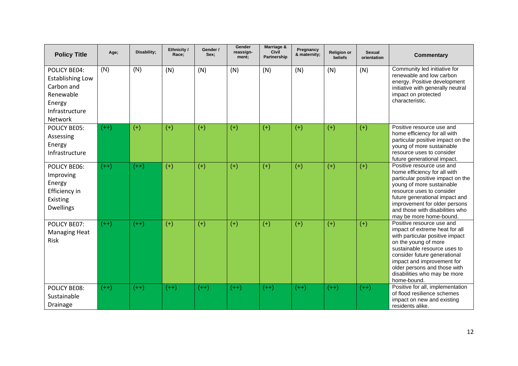| <b>Policy Title</b>                                                                                       | Age;   | Disability; | Ethnicity /<br>Race; | Gender /<br>Sex: | Gender<br>reassign-<br>ment; | Marriage &<br><b>Civil</b><br>Partnership | Pregnancy<br>& maternity; | <b>Religion or</b><br><b>beliefs</b> | <b>Sexual</b><br>orientation | <b>Commentary</b>                                                                                                                                                                                                                                                                                   |
|-----------------------------------------------------------------------------------------------------------|--------|-------------|----------------------|------------------|------------------------------|-------------------------------------------|---------------------------|--------------------------------------|------------------------------|-----------------------------------------------------------------------------------------------------------------------------------------------------------------------------------------------------------------------------------------------------------------------------------------------------|
| POLICY BE04:<br><b>Establishing Low</b><br>Carbon and<br>Renewable<br>Energy<br>Infrastructure<br>Network | (N)    | (N)         | (N)                  | (N)              | (N)                          | (N)                                       | (N)                       | (N)                                  | (N)                          | Community led initiative for<br>renewable and low carbon<br>energy. Positive development<br>initiative with generally neutral<br>impact on protected<br>characteristic.                                                                                                                             |
| <b>POLICY BE05:</b><br>Assessing<br>Energy<br>Infrastructure                                              | $(++)$ | $(+)$       | $(+)$                | $(+)$            | $(+)$                        | $(+)$                                     | $(+)$                     | $(+)$                                | $(+)$                        | Positive resource use and<br>home efficiency for all with<br>particular positive impact on the<br>young of more sustainable<br>resource uses to consider<br>future generational impact.                                                                                                             |
| <b>POLICY BE06:</b><br>Improving<br>Energy<br>Efficiency in<br>Existing<br><b>Dwellings</b>               | $(++)$ | $(++)$      | $(+)$                | $(+)$            | $(+)$                        | $(+)$                                     | $(+)$                     | $(+)$                                | $(+)$                        | Positive resource use and<br>home efficiency for all with<br>particular positive impact on the<br>young of more sustainable<br>resource uses to consider<br>future generational impact and<br>improvement for older persons<br>and those with disabilities who<br>may be more home-bound.           |
| POLICY BE07:<br><b>Managing Heat</b><br>Risk                                                              | $(++)$ | $(++)$      | $(+)$                | $(+)$            | $(+)$                        | $(+)$                                     | $(+)$                     | $(+)$                                | $(+)$                        | Positive resource use and<br>impact of extreme heat for all<br>with particular positive impact<br>on the young of more<br>sustainable resource uses to<br>consider future generational<br>impact and improvement for<br>older persons and those with<br>disabilities who may be more<br>home-bound. |
| <b>POLICY BE08:</b><br>Sustainable<br>Drainage                                                            | $(++)$ | $(++)$      | $(++)$               | $(++)$           | $(++)$                       | $(++)$                                    | $(++)$                    | $(++)$                               | $(++)$                       | Positive for all, implementation<br>of flood resilience schemes<br>impact on new and existing<br>residents alike.                                                                                                                                                                                   |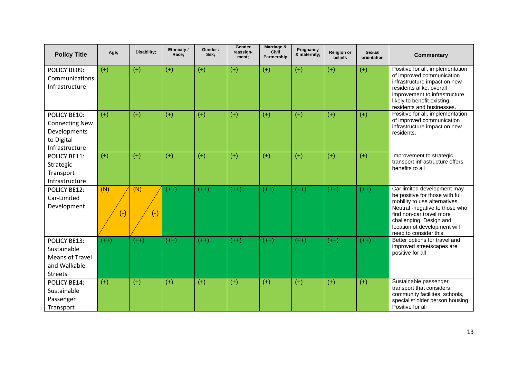| <b>Policy Title</b>                                                                   | Age;             | Disability;  | Ethnicity /<br>Race; | Gender /<br>Sex: | Gender<br>reassign-<br>ment; | Marriage &<br>Civil<br><b>Partnership</b> | Pregnancy<br>& maternity; | <b>Religion or</b><br><b>beliefs</b> | <b>Sexual</b><br>orientation | <b>Commentary</b>                                                                                                                                                                                                                                  |
|---------------------------------------------------------------------------------------|------------------|--------------|----------------------|------------------|------------------------------|-------------------------------------------|---------------------------|--------------------------------------|------------------------------|----------------------------------------------------------------------------------------------------------------------------------------------------------------------------------------------------------------------------------------------------|
| POLICY BE09:<br>Communications<br>Infrastructure                                      | $(+)$            | $(+)$        | $(+)$                | $(+)$            | $(+)$                        | $(+)$                                     | $(+)$                     | $(+)$                                | $(+)$                        | Positive for all, implementation<br>of improved communication<br>infrastructure impact on new<br>residents alike, overall<br>improvement to infrastructure<br>likely to benefit existing<br>residents and businesses.                              |
| POLICY BE10:<br><b>Connecting New</b><br>Developments<br>to Digital<br>Infrastructure | $(+)$            | $(+)$        | $(+)$                | $(+)$            | $(+)$                        | $(+)$                                     | $(+)$                     | $(+)$                                | $(+)$                        | Positive for all, implementation<br>of improved communication<br>infrastructure impact on new<br>residents.                                                                                                                                        |
| POLICY BE11:<br>Strategic<br>Transport<br>Infrastructure                              | $(+)$            | $(+)$        | $(+)$                | $(+)$            | $(+)$                        | $(+)$                                     | $(+)$                     | $(+)$                                | $(+)$                        | Improvement to strategic<br>transport infrastructure offers<br>benefits to all                                                                                                                                                                     |
| POLICY BE12:<br>Car-Limited<br>Development                                            | (N)<br>$\bullet$ | (N)<br>$(-)$ | $(++)$               | $(++)$           | $(++)$                       | $(++)$                                    | $(++)$                    | $(++)$                               | $(++)$                       | Car limited development may<br>be positive for those with full<br>mobility to use alternatives.<br>Neutral -negative to those who<br>find non-car travel more<br>challenging. Design and<br>location of development will<br>need to consider this. |
| POLICY BE13:<br>Sustainable<br>Means of Travel<br>and Walkable<br><b>Streets</b>      | $(++)$           | $(++)$       | $(++)$               | $(++)$           | $(++)$                       | $(++)$                                    | $(++)$                    | $(++)$                               | $(++)$                       | Better options for travel and<br>improved streetscapes are<br>positive for all                                                                                                                                                                     |
| POLICY BE14:<br>Sustainable<br>Passenger<br>Transport                                 | $(+)$            | $(+)$        | $(+)$                | $(+)$            | $(+)$                        | $(+)$                                     | $(+)$                     | $(+)$                                | $(+)$                        | Sustainable passenger<br>transport that considers<br>community facilities, schools,<br>specialist older person housing.<br>Positive for all                                                                                                        |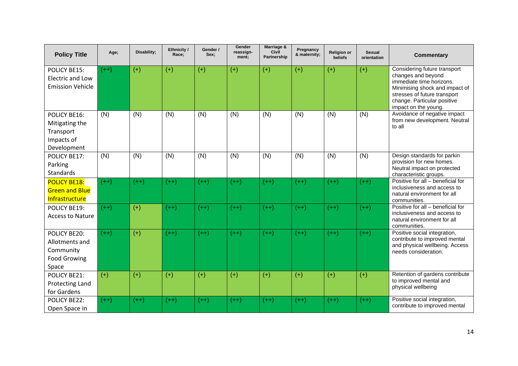| <b>Policy Title</b>                                                         | Age;   | Disability; | Ethnicity /<br>Race; | Gender /<br>Sex: | Gender<br>reassign-<br>ment; | Marriage &<br>Civil<br>Partnership | Pregnancy<br>& maternity; | <b>Religion or</b><br>beliefs | <b>Sexual</b><br>orientation | <b>Commentary</b>                                                                                                                                                                                       |
|-----------------------------------------------------------------------------|--------|-------------|----------------------|------------------|------------------------------|------------------------------------|---------------------------|-------------------------------|------------------------------|---------------------------------------------------------------------------------------------------------------------------------------------------------------------------------------------------------|
| POLICY BE15:<br><b>Electric and Low</b><br><b>Emission Vehicle</b>          | $(++)$ | $(+)$       | $(+)$                | $(+)$            | $(+)$                        | $(+)$                              | $(+)$                     | $(+)$                         | $(+)$                        | Considering future transport<br>changes and beyond<br>immediate time horizons.<br>Minimising shock and impact of<br>stresses of future transport<br>change. Particular positive<br>impact on the young. |
| POLICY BE16:<br>Mitigating the<br>Transport<br>Impacts of<br>Development    | (N)    | (N)         | (N)                  | (N)              | (N)                          | (N)                                | (N)                       | (N)                           | (N)                          | Avoidance of negative impact<br>from new development. Neutral<br>to all                                                                                                                                 |
| POLICY BE17:<br>Parking<br><b>Standards</b>                                 | (N)    | (N)         | (N)                  | (N)              | (N)                          | (N)                                | (N)                       | (N)                           | (N)                          | Design standards for parkin<br>provision for new homes.<br>Neutral impact on protected<br>characteristic groups.                                                                                        |
| <b>POLICY BE18:</b><br><b>Green and Blue</b><br>Infrastructure              | $(++)$ | $(++)$      | $(++)$               | $(++)$           | $(++)$                       | $(++)$                             | $(++)$                    | $(++)$                        | $(++)$                       | Positive for all - beneficial for<br>inclusiveness and access to<br>natural environment for all<br>communities.                                                                                         |
| POLICY BE19:<br><b>Access to Nature</b>                                     | $(++)$ | $(+)$       | $(++)$               | $(++)$           | $(++)$                       | $(++)$                             | $(++)$                    | $(++)$                        | $(++)$                       | Positive for all - beneficial for<br>inclusiveness and access to<br>natural environment for all<br>communities.                                                                                         |
| POLICY BE20:<br>Allotments and<br>Community<br><b>Food Growing</b><br>Space | $(++)$ | $(+)$       | $(++)$               | $(++)$           | $(++)$                       | $(++)$                             | $(++)$                    | $(++)$                        | $(++)$                       | Positive social integration,<br>contribute to improved mental<br>and physical wellbeing. Access<br>needs consideration.                                                                                 |
| POLICY BE21:<br>Protecting Land<br>for Gardens                              | $(+)$  | $(+)$       | $(+)$                | $(+)$            | $(+)$                        | $(+)$                              | $(+)$                     | $(+)$                         | $(+)$                        | Retention of gardens contribute<br>to improved mental and<br>physical wellbeing                                                                                                                         |
| <b>POLICY BE22:</b><br>Open Space in                                        | $(++)$ | $(++)$      | $(++)$               | $(++)$           | $(++)$                       | $(++)$                             | $(++)$                    | $(++)$                        | $(++)$                       | Positive social integration,<br>contribute to improved mental                                                                                                                                           |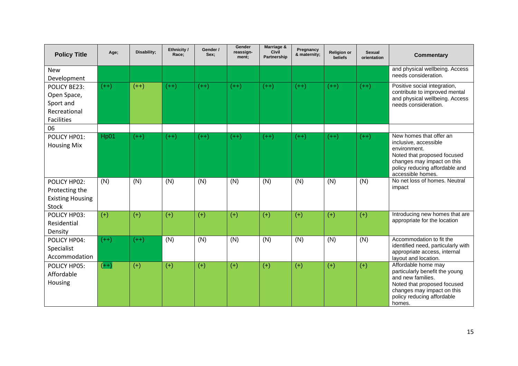| <b>Policy Title</b>                                                                  | Age;   | Disability; | Ethnicity /<br>Race; | Gender /<br>Sex; | Gender<br>reassign-<br>ment; | Marriage &<br>Civil<br><b>Partnership</b> | Pregnancy<br>& maternity; | <b>Religion or</b><br>beliefs | <b>Sexual</b><br>orientation | <b>Commentary</b>                                                                                                                                                                    |
|--------------------------------------------------------------------------------------|--------|-------------|----------------------|------------------|------------------------------|-------------------------------------------|---------------------------|-------------------------------|------------------------------|--------------------------------------------------------------------------------------------------------------------------------------------------------------------------------------|
| <b>New</b><br>Development                                                            |        |             |                      |                  |                              |                                           |                           |                               |                              | and physical wellbeing. Access<br>needs consideration.                                                                                                                               |
| <b>POLICY BE23:</b><br>Open Space,<br>Sport and<br>Recreational<br><b>Facilities</b> | $(++)$ | $(++)$      | $(++)$               | $(++)$           | $(++)$                       | $(++)$                                    | $(++)$                    | $(++)$                        | $(++)$                       | Positive social integration,<br>contribute to improved mental<br>and physical wellbeing. Access<br>needs consideration.                                                              |
| 06                                                                                   |        |             |                      |                  |                              |                                           |                           |                               |                              |                                                                                                                                                                                      |
| POLICY HP01:<br><b>Housing Mix</b>                                                   | Hp01   | $(++)$      | $(++)$               | $(++)$           | $(++)$                       | $(++)$                                    | $(++)$                    | $(++)$                        | $(++)$                       | New homes that offer an<br>inclusive, accessible<br>environment.<br>Noted that proposed focused<br>changes may impact on this<br>policy reducing affordable and<br>accessible homes. |
| POLICY HP02:<br>Protecting the<br><b>Existing Housing</b><br><b>Stock</b>            | (N)    | (N)         | (N)                  | (N)              | (N)                          | (N)                                       | (N)                       | (N)                           | (N)                          | No net loss of homes. Neutral<br>impact                                                                                                                                              |
| POLICY HP03:<br>Residential<br>Density                                               | $(+)$  | $(+)$       | $(+)$                | $(+)$            | $(+)$                        | $(+)$                                     | $(+)$                     | $(+)$                         | $(+)$                        | Introducing new homes that are<br>appropriate for the location                                                                                                                       |
| POLICY HP04:<br>Specialist<br>Accommodation                                          | $(++)$ | $(++)$      | (N)                  | (N)              | (N)                          | (N)                                       | (N)                       | (N)                           | (N)                          | Accommodation to fit the<br>identified need, particularly with<br>appropriate access, internal<br>layout and location.                                                               |
| POLICY HP05:<br>Affordable<br>Housing                                                | $(++)$ | $(+)$       | $(+)$                | $(+)$            | $(+)$                        | $(+)$                                     | $(+)$                     | $(+)$                         | $(+)$                        | Affordable home may<br>particularly benefit the young<br>and new families.<br>Noted that proposed focused<br>changes may impact on this<br>policy reducing affordable<br>homes.      |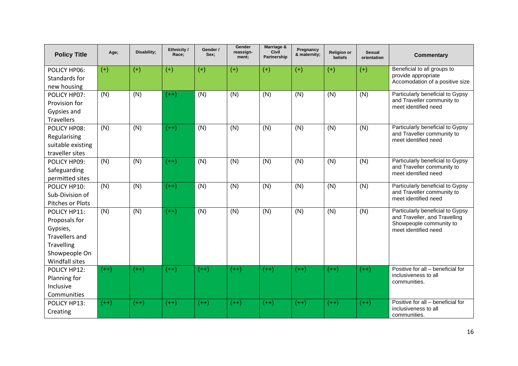| <b>Policy Title</b>   | Age;   | Disability; | Ethnicity /<br>Race; | Gender /<br>Sex: | Gender<br>reassign-<br>ment; | Marriage &<br>Civil<br>Partnership | Pregnancy<br>& maternity; | <b>Religion or</b><br><b>beliefs</b> | <b>Sexual</b><br>orientation | <b>Commentary</b>                                                 |
|-----------------------|--------|-------------|----------------------|------------------|------------------------------|------------------------------------|---------------------------|--------------------------------------|------------------------------|-------------------------------------------------------------------|
| POLICY HP06:          | $(+)$  | $(+)$       | $(+)$                | $(+)$            | $(+)$                        | $(+)$                              | $(+)$                     | $(+)$                                | $(+)$                        | Beneficial to all groups to                                       |
| Standards for         |        |             |                      |                  |                              |                                    |                           |                                      |                              | provide appropriate<br>Accomodation of a positive size            |
| new housing           |        |             |                      |                  |                              |                                    |                           |                                      |                              |                                                                   |
| POLICY HP07:          | (N)    | (N)         | $(++)$               | (N)              | (N)                          | (N)                                | (N)                       | (N)                                  | (N)                          | Particularly beneficial to Gypsy                                  |
| Provision for         |        |             |                      |                  |                              |                                    |                           |                                      |                              | and Traveller community to<br>meet identified need                |
| Gypsies and           |        |             |                      |                  |                              |                                    |                           |                                      |                              |                                                                   |
| <b>Travellers</b>     |        |             |                      |                  |                              |                                    |                           |                                      |                              |                                                                   |
| POLICY HP08:          | (N)    | (N)         | $(++)$               | (N)              | (N)                          | (N)                                | (N)                       | (N)                                  | (N)                          | Particularly beneficial to Gypsy                                  |
| Regularising          |        |             |                      |                  |                              |                                    |                           |                                      |                              | and Traveller community to<br>meet identified need                |
| suitable existing     |        |             |                      |                  |                              |                                    |                           |                                      |                              |                                                                   |
| traveller sites       |        |             |                      |                  |                              |                                    |                           |                                      |                              |                                                                   |
| POLICY HP09:          | (N)    | (N)         | $(++)$               | (N)              | (N)                          | (N)                                | (N)                       | (N)                                  | (N)                          | Particularly beneficial to Gypsy<br>and Traveller community to    |
| Safeguarding          |        |             |                      |                  |                              |                                    |                           |                                      |                              | meet identified need                                              |
| permitted sites       |        |             |                      |                  |                              |                                    |                           |                                      |                              |                                                                   |
| POLICY HP10:          | (N)    | (N)         | $(++)$               | (N)              | $\overline{(N)}$             | (N)                                | (N)                       | (N)                                  | (N)                          | Particularly beneficial to Gypsy<br>and Traveller community to    |
| Sub-Division of       |        |             |                      |                  |                              |                                    |                           |                                      |                              | meet identified need                                              |
| Pitches or Plots      |        |             |                      |                  |                              |                                    |                           |                                      |                              |                                                                   |
| POLICY HP11:          | (N)    | (N)         | $(++)$               | (N)              | (N)                          | (N)                                | (N)                       | (N)                                  | (N)                          | Particularly beneficial to Gypsy<br>and Traveller, and Travelling |
| Proposals for         |        |             |                      |                  |                              |                                    |                           |                                      |                              | Showpeople community to                                           |
| Gypsies,              |        |             |                      |                  |                              |                                    |                           |                                      |                              | meet identified need                                              |
| <b>Travellers and</b> |        |             |                      |                  |                              |                                    |                           |                                      |                              |                                                                   |
| Travelling            |        |             |                      |                  |                              |                                    |                           |                                      |                              |                                                                   |
| Showpeople On         |        |             |                      |                  |                              |                                    |                           |                                      |                              |                                                                   |
| Windfall sites        |        |             |                      |                  |                              |                                    |                           |                                      |                              |                                                                   |
| POLICY HP12:          | $(++)$ | $(++)$      | $(++)$               | $(++)$           | $(++)$                       | $(++)$                             | $(++)$                    | $(++)$                               | $(++)$                       | Positive for all - beneficial for<br>inclusiveness to all         |
| Planning for          |        |             |                      |                  |                              |                                    |                           |                                      |                              | communities.                                                      |
| Inclusive             |        |             |                      |                  |                              |                                    |                           |                                      |                              |                                                                   |
| Communities           |        |             |                      |                  |                              |                                    |                           |                                      |                              |                                                                   |
| POLICY HP13:          | $(++)$ | $(++)$      | $(++)$               | $(++)$           | $(++)$                       | $(++)$                             | $(++)$                    | $(++)$                               | $(++)$                       | Positive for all - beneficial for<br>inclusiveness to all         |
| Creating              |        |             |                      |                  |                              |                                    |                           |                                      |                              | communities.                                                      |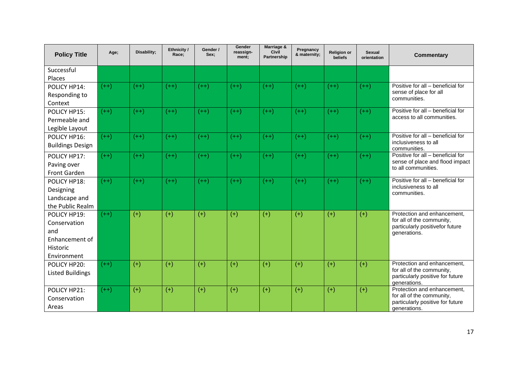| <b>Policy Title</b>                                                              | Age;   | Disability; | Ethnicity /<br>Race; | Gender /<br>Sex: | Gender<br>reassign-<br>ment; | Marriage &<br><b>Civil</b><br>Partnership | Pregnancy<br>& maternity; | <b>Religion or</b><br><b>beliefs</b> | <b>Sexual</b><br>orientation | <b>Commentary</b>                                                                                            |
|----------------------------------------------------------------------------------|--------|-------------|----------------------|------------------|------------------------------|-------------------------------------------|---------------------------|--------------------------------------|------------------------------|--------------------------------------------------------------------------------------------------------------|
| Successful<br>Places                                                             |        |             |                      |                  |                              |                                           |                           |                                      |                              |                                                                                                              |
| POLICY HP14:<br>Responding to<br>Context                                         | $(++)$ | $(++)$      | $(++)$               | $(++)$           | $(++)$                       | $(++)$                                    | $(++)$                    | $(++)$                               | $(++)$                       | Positive for all - beneficial for<br>sense of place for all<br>communities.                                  |
| POLICY HP15:<br>Permeable and<br>Legible Layout                                  | $(++)$ | $(++)$      | $(++)$               | $(++)$           | $(++)$                       | $(++)$                                    | $(++)$                    | $(++)$                               | $(++)$                       | Positive for all - beneficial for<br>access to all communities.                                              |
| POLICY HP16:<br><b>Buildings Design</b>                                          | $(++)$ | $(++)$      | $(++)$               | $(++)$           | $(++)$                       | $(++)$                                    | $(++)$                    | $(++)$                               | $(++)$                       | Positive for all - beneficial for<br>inclusiveness to all<br>communities.                                    |
| POLICY HP17:<br>Paving over<br>Front Garden                                      | $(++)$ | $(++)$      | $(++)$               | $(++)$           | $(++)$                       | $(++)$                                    | $(++)$                    | $(++)$                               | $(++)$                       | Positive for all - beneficial for<br>sense of place and flood impact<br>to all communities.                  |
| POLICY HP18:<br>Designing<br>Landscape and<br>the Public Realm                   | $(++)$ | $(++)$      | $(++)$               | $(++)$           | $(++)$                       | $(++)$                                    | $(++)$                    | $(++)$                               | $(++)$                       | Positive for all - beneficial for<br>inclusiveness to all<br>communities.                                    |
| POLICY HP19:<br>Conservation<br>and<br>Enhancement of<br>Historic<br>Environment | $(++)$ | $(+)$       | $(+)$                | $(+)$            | $(+)$                        | $(+)$                                     | $(+)$                     | $(+)$                                | $(+)$                        | Protection and enhancement.<br>for all of the community,<br>particularly positivefor future<br>generations.  |
| POLICY HP20:<br><b>Listed Buildings</b>                                          | $(++)$ | $(+)$       | $(+)$                | $(+)$            | $(+)$                        | $(+)$                                     | $(+)$                     | $(+)$                                | $(+)$                        | Protection and enhancement,<br>for all of the community,<br>particularly positive for future<br>generations. |
| POLICY HP21:<br>Conservation<br>Areas                                            | $(++)$ | $(+)$       | $(+)$                | $(+)$            | $(+)$                        | $(+)$                                     | $(+)$                     | $(+)$                                | $(+)$                        | Protection and enhancement,<br>for all of the community,<br>particularly positive for future<br>denerations. |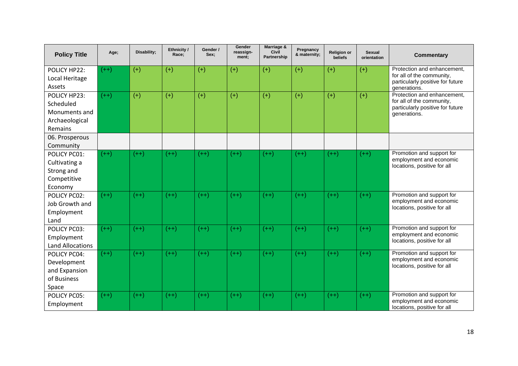| <b>Policy Title</b>                                                                       | Age;   | Disability; | Ethnicity /<br>Race; | Gender /<br>Sex; | Gender<br>reassign-<br>ment; | Marriage &<br><b>Civil</b><br><b>Partnership</b> | Pregnancy<br>& maternity; | <b>Religion or</b><br>beliefs | <b>Sexual</b><br>orientation | <b>Commentary</b>                                                                                            |
|-------------------------------------------------------------------------------------------|--------|-------------|----------------------|------------------|------------------------------|--------------------------------------------------|---------------------------|-------------------------------|------------------------------|--------------------------------------------------------------------------------------------------------------|
| POLICY HP22:<br>Local Heritage<br>Assets                                                  | $(++)$ | $(+)$       | $(+)$                | $(+)$            | $(+)$                        | $(+)$                                            | $(+)$                     | $(+)$                         | $(+)$                        | Protection and enhancement.<br>for all of the community,<br>particularly positive for future<br>generations. |
| POLICY HP23:<br>Scheduled<br>Monuments and<br>Archaeological<br>Remains<br>06. Prosperous | $(++)$ | $(+)$       | $(+)$                | $(+)$            | $(+)$                        | $(+)$                                            | $(+)$                     | $(+)$                         | $(+)$                        | Protection and enhancement,<br>for all of the community,<br>particularly positive for future<br>generations. |
| Community                                                                                 |        |             |                      |                  |                              |                                                  |                           |                               |                              |                                                                                                              |
| POLICY PC01:<br>Cultivating a<br>Strong and<br>Competitive<br>Economy                     | $(++)$ | $(++)$      | $(++)$               | $(++)$           | $(++)$                       | $(++)$                                           | $(++)$                    | $(++)$                        | $(++)$                       | Promotion and support for<br>employment and economic<br>locations, positive for all                          |
| POLICY PC02:<br>Job Growth and<br>Employment<br>Land                                      | $(++)$ | $(++)$      | $(++)$               | $(++)$           | $(++)$                       | $(++)$                                           | $(++)$                    | $(++)$                        | $(++)$                       | Promotion and support for<br>employment and economic<br>locations, positive for all                          |
| POLICY PC03:<br>Employment<br><b>Land Allocations</b>                                     | $(++)$ | $(++)$      | $(++)$               | $(++)$           | $(++)$                       | $(++)$                                           | $(++)$                    | $(++)$                        | $(++)$                       | Promotion and support for<br>employment and economic<br>locations, positive for all                          |
| POLICY PC04:<br>Development<br>and Expansion<br>of Business<br>Space                      | $(++)$ | $(++)$      | $(++)$               | $(++)$           | $(++)$                       | $(++)$                                           | $(++)$                    | $(++)$                        | $(++)$                       | Promotion and support for<br>employment and economic<br>locations, positive for all                          |
| POLICY PC05:<br>Employment                                                                | $(++)$ | $(++)$      | $(++)$               | $(++)$           | $(++)$                       | $(++)$                                           | $(++)$                    | $(++)$                        | $(++)$                       | Promotion and support for<br>employment and economic<br>locations, positive for all                          |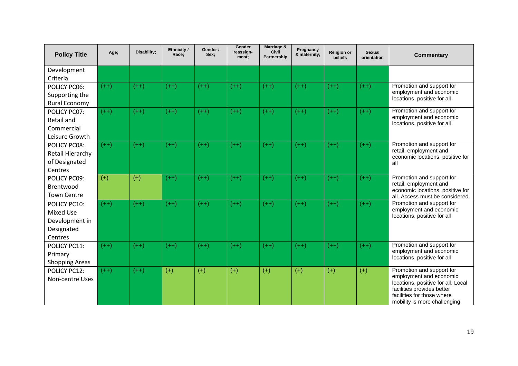| <b>Policy Title</b>   | Age;   | Disability; | Ethnicity /<br>Race; | Gender /<br>Sex: | Gender<br>reassign-<br>ment; | Marriage &<br><b>Civil</b><br><b>Partnership</b> | Pregnancy<br>& maternity; | <b>Religion or</b><br>beliefs | Sexual<br>orientation | <b>Commentary</b>                                           |
|-----------------------|--------|-------------|----------------------|------------------|------------------------------|--------------------------------------------------|---------------------------|-------------------------------|-----------------------|-------------------------------------------------------------|
| Development           |        |             |                      |                  |                              |                                                  |                           |                               |                       |                                                             |
| Criteria              |        |             |                      |                  |                              |                                                  |                           |                               |                       |                                                             |
| POLICY PC06:          | $(++)$ | $(++)$      | $(++)$               | $(++)$           | $(++)$                       | $(++)$                                           | $(++)$                    | $(++)$                        | $(++)$                | Promotion and support for<br>employment and economic        |
| Supporting the        |        |             |                      |                  |                              |                                                  |                           |                               |                       | locations, positive for all                                 |
| Rural Economy         |        |             |                      |                  |                              |                                                  |                           |                               |                       |                                                             |
| POLICY PC07:          | $(++)$ | $(++)$      | $(++)$               | $(++)$           | $(++)$                       | $(++)$                                           | $(++)$                    | $(++)$                        | $(++)$                | Promotion and support for<br>employment and economic        |
| Retail and            |        |             |                      |                  |                              |                                                  |                           |                               |                       | locations, positive for all                                 |
| Commercial            |        |             |                      |                  |                              |                                                  |                           |                               |                       |                                                             |
| Leisure Growth        |        |             |                      |                  |                              |                                                  |                           |                               |                       |                                                             |
| <b>POLICY PC08:</b>   | $(++)$ | $(++)$      | $(++)$               | $(++)$           | $(++)$                       | $(++)$                                           | $(++)$                    | $(++)$                        | $(++)$                | Promotion and support for<br>retail, employment and         |
| Retail Hierarchy      |        |             |                      |                  |                              |                                                  |                           |                               |                       | economic locations, positive for                            |
| of Designated         |        |             |                      |                  |                              |                                                  |                           |                               |                       | all                                                         |
| Centres               |        |             |                      |                  |                              |                                                  |                           |                               |                       |                                                             |
| POLICY PC09:          | $(+)$  | $(+)$       | $(++)$               | $(++)$           | $(++)$                       | $(++)$                                           | $(++)$                    | $(++)$                        | $(++)$                | Promotion and support for<br>retail, employment and         |
| Brentwood             |        |             |                      |                  |                              |                                                  |                           |                               |                       | economic locations, positive for                            |
| <b>Town Centre</b>    |        |             |                      |                  |                              |                                                  |                           |                               |                       | all. Access must be considered.                             |
| POLICY PC10:          | $(++)$ | $(++)$      | $(++)$               | $(++)$           | $(++)$                       | $(++)$                                           | $(++)$                    | $(++)$                        | $(++)$                | Promotion and support for<br>employment and economic        |
| <b>Mixed Use</b>      |        |             |                      |                  |                              |                                                  |                           |                               |                       | locations, positive for all                                 |
| Development in        |        |             |                      |                  |                              |                                                  |                           |                               |                       |                                                             |
| Designated            |        |             |                      |                  |                              |                                                  |                           |                               |                       |                                                             |
| Centres               |        |             |                      |                  |                              |                                                  |                           |                               |                       |                                                             |
| POLICY PC11:          | $(++)$ | $(++)$      | $(++)$               | $(++)$           | $(++)$                       | $(++)$                                           | $(++)$                    | $(++)$                        | $(++)$                | Promotion and support for<br>employment and economic        |
| Primary               |        |             |                      |                  |                              |                                                  |                           |                               |                       | locations, positive for all                                 |
| <b>Shopping Areas</b> |        |             |                      |                  |                              |                                                  |                           |                               |                       |                                                             |
| POLICY PC12:          | $(++)$ | $(++)$      | $(+)$                | $(+)$            | $(+)$                        | $(+)$                                            | $(+)$                     | $(+)$                         | $(+)$                 | Promotion and support for<br>employment and economic        |
| Non-centre Uses       |        |             |                      |                  |                              |                                                  |                           |                               |                       | locations, positive for all. Local                          |
|                       |        |             |                      |                  |                              |                                                  |                           |                               |                       | facilities provides better                                  |
|                       |        |             |                      |                  |                              |                                                  |                           |                               |                       | facilities for those where<br>mobility is more challenging. |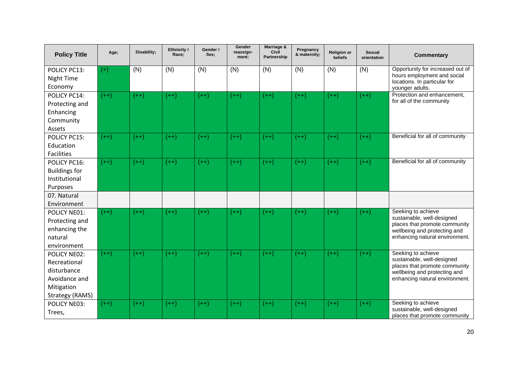| <b>Policy Title</b>            | Age;   | Disability; | Ethnicity /<br>Race; | Gender /<br>Sex: | Gender<br>reassign-<br>ment; | Marriage &<br>Civil<br><b>Partnership</b> | Pregnancy<br>& maternity; | <b>Religion or</b><br>beliefs | <b>Sexual</b><br>orientation | <b>Commentary</b>                                               |
|--------------------------------|--------|-------------|----------------------|------------------|------------------------------|-------------------------------------------|---------------------------|-------------------------------|------------------------------|-----------------------------------------------------------------|
| POLICY PC13:<br>Night Time     | $(+)$  | (N)         | (N)                  | (N)              | (N)                          | (N)                                       | (N)                       | (N)                           | (N)                          | Opportunity for increased out of<br>hours employment and social |
| Economy                        |        |             |                      |                  |                              |                                           |                           |                               |                              | locations. In particular for<br>younger adults.                 |
| POLICY PC14:                   | $(++)$ | $(++)$      | $(++)$               | $(++)$           | $(++)$                       | $(++)$                                    | $(++)$                    | $(++)$                        | $(++)$                       | Protection and enhancement,<br>for all of the community         |
| Protecting and<br>Enhancing    |        |             |                      |                  |                              |                                           |                           |                               |                              |                                                                 |
| Community                      |        |             |                      |                  |                              |                                           |                           |                               |                              |                                                                 |
| Assets                         |        |             |                      |                  |                              |                                           |                           |                               |                              |                                                                 |
| POLICY PC15:                   | $(++)$ | $(++)$      | $(++)$               | $(++)$           | $(++)$                       | $(++)$                                    | $(++)$                    | $(++)$                        | $(++)$                       | Beneficial for all of community                                 |
| Education<br><b>Facilities</b> |        |             |                      |                  |                              |                                           |                           |                               |                              |                                                                 |
| POLICY PC16:                   | $(++)$ | $(++)$      | $(++)$               | $(++)$           | $(++)$                       | $(++)$                                    | $(++)$                    | $(++)$                        | $(++)$                       | Beneficial for all of community                                 |
| <b>Buildings for</b>           |        |             |                      |                  |                              |                                           |                           |                               |                              |                                                                 |
| Institutional                  |        |             |                      |                  |                              |                                           |                           |                               |                              |                                                                 |
| Purposes                       |        |             |                      |                  |                              |                                           |                           |                               |                              |                                                                 |
| 07. Natural<br>Environment     |        |             |                      |                  |                              |                                           |                           |                               |                              |                                                                 |
| POLICY NE01:                   | $(++)$ | $(++)$      | $(++)$               | $(++)$           | $(++)$                       | $(++)$                                    | $(++)$                    | $(++)$                        | $(++)$                       | Seeking to achieve                                              |
| Protecting and                 |        |             |                      |                  |                              |                                           |                           |                               |                              | sustainable, well-designed<br>places that promote community     |
| enhancing the                  |        |             |                      |                  |                              |                                           |                           |                               |                              | wellbeing and protecting and                                    |
| natural<br>environment         |        |             |                      |                  |                              |                                           |                           |                               |                              | enhancing natural environment.                                  |
| POLICY NE02:                   | $(++)$ | $(++)$      | $(++)$               | $(++)$           | $(++)$                       | $(++)$                                    | $(++)$                    | $(++)$                        | $(++)$                       | Seeking to achieve                                              |
| Recreational                   |        |             |                      |                  |                              |                                           |                           |                               |                              | sustainable, well-designed<br>places that promote community     |
| disturbance                    |        |             |                      |                  |                              |                                           |                           |                               |                              | wellbeing and protecting and                                    |
| Avoidance and                  |        |             |                      |                  |                              |                                           |                           |                               |                              | enhancing natural environment.                                  |
| Mitigation<br>Strategy (RAMS)  |        |             |                      |                  |                              |                                           |                           |                               |                              |                                                                 |
| POLICY NE03:                   | $(++)$ | $(++)$      | $(++)$               | $(++)$           | $(++)$                       | $(++)$                                    | $(++)$                    | $(++)$                        | $(++)$                       | Seeking to achieve                                              |
| Trees,                         |        |             |                      |                  |                              |                                           |                           |                               |                              | sustainable, well-designed<br>places that promote community     |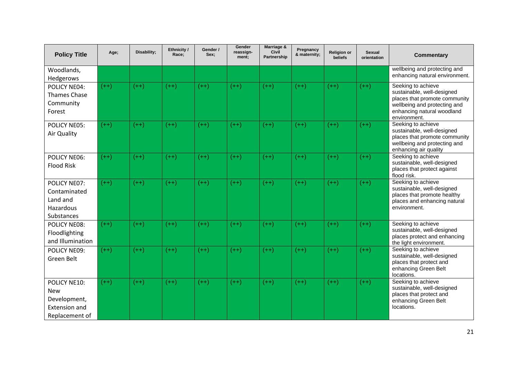| <b>Policy Title</b>                                                                  | Age;   | Disability; | Ethnicity /<br>Race; | Gender /<br>Sex; | Gender<br>reassign-<br>ment; | Marriage &<br>Civil<br>Partnership | Pregnancy<br>& maternity; | <b>Religion or</b><br>beliefs | Sexual<br>orientation | <b>Commentary</b>                                                                                                                                               |
|--------------------------------------------------------------------------------------|--------|-------------|----------------------|------------------|------------------------------|------------------------------------|---------------------------|-------------------------------|-----------------------|-----------------------------------------------------------------------------------------------------------------------------------------------------------------|
| Woodlands,<br>Hedgerows                                                              |        |             |                      |                  |                              |                                    |                           |                               |                       | wellbeing and protecting and<br>enhancing natural environment.                                                                                                  |
| POLICY NE04:<br><b>Thames Chase</b><br>Community<br>Forest                           | $(++)$ | $(++)$      | $(++)$               | $(++)$           | $(++)$                       | $(++)$                             | $(++)$                    | $(++)$                        | $(++)$                | Seeking to achieve<br>sustainable, well-designed<br>places that promote community<br>wellbeing and protecting and<br>enhancing natural woodland<br>environment. |
| POLICY NE05:<br>Air Quality                                                          | $(++)$ | $(++)$      | $(++)$               | $(++)$           | $(++)$                       | $(++)$                             | $(++)$                    | $(++)$                        | $(++)$                | Seeking to achieve<br>sustainable, well-designed<br>places that promote community<br>wellbeing and protecting and<br>enhancing air quality                      |
| POLICY NE06:<br><b>Flood Risk</b>                                                    | $(++)$ | $(++)$      | $(++)$               | $(++)$           | $(++)$                       | $(++)$                             | $(++)$                    | $(++)$                        | $(++)$                | Seeking to achieve<br>sustainable, well-designed<br>places that protect against<br>flood risk.                                                                  |
| POLICY NE07:<br>Contaminated<br>Land and<br>Hazardous<br>Substances                  | $(++)$ | $(++)$      | $(++)$               | $(++)$           | $(++)$                       | $(++)$                             | $(++)$                    | $(++)$                        | $(++)$                | Seeking to achieve<br>sustainable, well-designed<br>places that promote healthy<br>places and enhancing natural<br>environment.                                 |
| POLICY NE08:<br>Floodlighting<br>and Illumination                                    | $(++)$ | $(++)$      | $(++)$               | $(++)$           | $(++)$                       | $(++)$                             | $(++)$                    | $(++)$                        | $(++)$                | Seeking to achieve<br>sustainable, well-designed<br>places protect and enhancing<br>the light environment.                                                      |
| POLICY NE09:<br>Green Belt                                                           | $(++)$ | $(++)$      | $(++)$               | $(++)$           | $(++)$                       | $(++)$                             | $(++)$                    | $(++)$                        | $(++)$                | Seeking to achieve<br>sustainable, well-designed<br>places that protect and<br>enhancing Green Belt<br>locations.                                               |
| POLICY NE10:<br><b>New</b><br>Development,<br><b>Extension and</b><br>Replacement of | $(++)$ | $(++)$      | $(++)$               | $(++)$           | $(++)$                       | $(++)$                             | $(++)$                    | $(++)$                        | $(++)$                | Seeking to achieve<br>sustainable, well-designed<br>places that protect and<br>enhancing Green Belt<br>locations.                                               |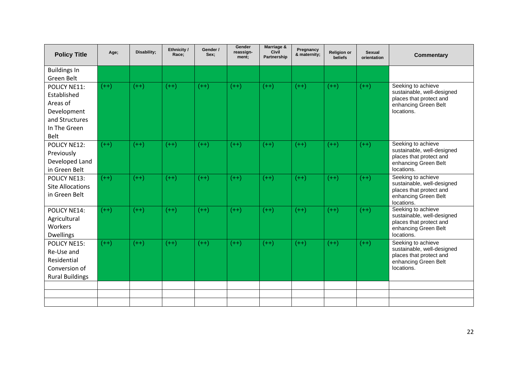| <b>Policy Title</b>              | Age;   | Disability; | Ethnicity /<br>Race: | Gender /<br>Sex: | Gender<br>reassign-<br>ment; | Marriage &<br><b>Civil</b><br><b>Partnership</b> | Pregnancy<br>& maternity; | <b>Religion or</b><br><b>beliefs</b> | <b>Sexual</b><br>orientation | <b>Commentary</b>                                     |
|----------------------------------|--------|-------------|----------------------|------------------|------------------------------|--------------------------------------------------|---------------------------|--------------------------------------|------------------------------|-------------------------------------------------------|
| <b>Buildings In</b>              |        |             |                      |                  |                              |                                                  |                           |                                      |                              |                                                       |
| Green Belt                       |        |             |                      |                  |                              |                                                  |                           |                                      |                              |                                                       |
| POLICY NE11:                     | $(++)$ | $(++)$      | $(++)$               | $(++)$           | $(++)$                       | $(++)$                                           | $(++)$                    | $(++)$                               | $(++)$                       | Seeking to achieve<br>sustainable, well-designed      |
| Established                      |        |             |                      |                  |                              |                                                  |                           |                                      |                              | places that protect and                               |
| Areas of                         |        |             |                      |                  |                              |                                                  |                           |                                      |                              | enhancing Green Belt                                  |
| Development                      |        |             |                      |                  |                              |                                                  |                           |                                      |                              | locations.                                            |
| and Structures                   |        |             |                      |                  |                              |                                                  |                           |                                      |                              |                                                       |
| In The Green<br><b>Belt</b>      |        |             |                      |                  |                              |                                                  |                           |                                      |                              |                                                       |
| POLICY NE12:                     | $(++)$ | $(++)$      | $(++)$               | $(++)$           | $(++)$                       | $(++)$                                           | $(++)$                    | $(++)$                               | $(++)$                       | Seeking to achieve                                    |
| Previously                       |        |             |                      |                  |                              |                                                  |                           |                                      |                              | sustainable, well-designed                            |
| Developed Land                   |        |             |                      |                  |                              |                                                  |                           |                                      |                              | places that protect and<br>enhancing Green Belt       |
| in Green Belt                    |        |             |                      |                  |                              |                                                  |                           |                                      |                              | locations.                                            |
| POLICY NE13:                     | $(++)$ | $(++)$      | $(++)$               | $(++)$           | $(++)$                       | $(++)$                                           | $(++)$                    | $(++)$                               | $(++)$                       | Seeking to achieve                                    |
| <b>Site Allocations</b>          |        |             |                      |                  |                              |                                                  |                           |                                      |                              | sustainable, well-designed<br>places that protect and |
| in Green Belt                    |        |             |                      |                  |                              |                                                  |                           |                                      |                              | enhancing Green Belt                                  |
|                                  |        |             |                      |                  |                              |                                                  |                           |                                      |                              | locations.                                            |
| POLICY NE14:                     | $(++)$ | $(++)$      | $(++)$               | $(++)$           | $(++)$                       | $(++)$                                           | $(++)$                    | $(++)$                               | $(++)$                       | Seeking to achieve<br>sustainable, well-designed      |
| Agricultural                     |        |             |                      |                  |                              |                                                  |                           |                                      |                              | places that protect and                               |
| Workers                          |        |             |                      |                  |                              |                                                  |                           |                                      |                              | enhancing Green Belt<br>locations.                    |
| <b>Dwellings</b><br>POLICY NE15: | $(++)$ | $(++)$      | $(++)$               | $(++)$           | $(++)$                       | $(++)$                                           | $(++)$                    | $(++)$                               | $(++)$                       | Seeking to achieve                                    |
| Re-Use and                       |        |             |                      |                  |                              |                                                  |                           |                                      |                              | sustainable, well-designed                            |
| Residential                      |        |             |                      |                  |                              |                                                  |                           |                                      |                              | places that protect and                               |
| Conversion of                    |        |             |                      |                  |                              |                                                  |                           |                                      |                              | enhancing Green Belt<br>locations.                    |
| <b>Rural Buildings</b>           |        |             |                      |                  |                              |                                                  |                           |                                      |                              |                                                       |
|                                  |        |             |                      |                  |                              |                                                  |                           |                                      |                              |                                                       |
|                                  |        |             |                      |                  |                              |                                                  |                           |                                      |                              |                                                       |
|                                  |        |             |                      |                  |                              |                                                  |                           |                                      |                              |                                                       |